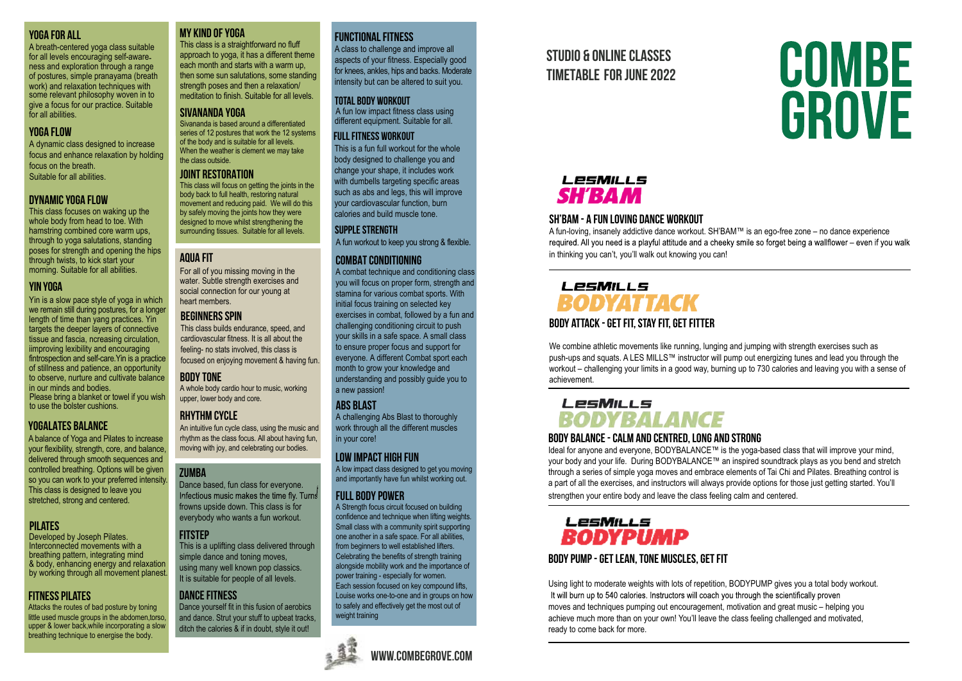#### YOGA for all

A breath-centered yoga class suitable<br>for all levels encouraging self-awareness and exploration through a rangeof postures, simple pranayama (breath work) and relaxation techniques with some relevant philosophy woven in to give a focus for our practice. Suitable for all abilities.

#### YOGA FI OW

A dynamic class designed to increase focus and enhance relaxation by holding focus on the breath. Suitable for all abilities.

#### dynamic YOGA flow

This class focuses on waking up the whole body from head to toe. With hamstring combined core warm ups, through to yoga salutations, standing poses for strength and opening the hips through twists, to kick start your morning. Suitable for all abilities.

#### YIN YOGA

Yin is a slow pace style of yoga in which we remain still during postures, for a longer length of time than yang practices. Yin targets the deeper layers of connective tissue and fascia, ncreasing circulation, iimproving lexibility and encouraging fintrospection and self-care.Yin is a practice of stillness and patience, an opportunity to observe, nurture and cultivate balance in our minds and bodies. Please bring a blanket or towel if you wish to use the bolster cushions.

#### YOGALATES BALANCE

A balance of Yoga and Pilates to increase your flexibility, strength, core, and balance, delivered through smooth sequences and controlled breathing. Options will be given so you can work to your preferred intensity. This class is designed to leave you stretched, strong and centered.

#### **PILATES**

Developed by Joseph Pilates. Interconnected movements with a breathing pattern, integrating mind & body, enhancing energy and relaxation by working through all movement planest.

#### **FITNESS PILATES**

Attacks the routes of bad posture by toning little used muscle groups in the abdomen, torso, upper & lower back,while incorporating a slow breathing technique to energise the body.

#### my kind of yoga

This class is a straightforward no fluff approach to yoga, it has a different theme each month and starts with a warm up then some sun salutations, some standing strength poses and then a relaxation/ meditation to finish. Suitable for all levels.

#### Sivananda Yoga

Sivananda is based around a differentiated series of 12 postures that work the 12 systems of the body and is suitable for all levels. When the weather is clement we may take the class outside.

#### Joint Restoration

This class will focus on getting the joints in the body back to full health, restoring natural movement and reducing paid. We will do this by safely moving the joints how they were designed to move whilst strengthening the surrounding tissues. Suitable for all levels.

#### AQUA FIT

For all of you missing moving in the water. Subtle strength exercises and social connection for our young at heart members.

#### beginners spin

This class builds endurance, speed, and cardiovascular fitness. It is all about the feeling- no stats involved, this class is focused on enjoying movement & having fun.

#### **RODY TONE**

A whole body cardio hour to music, working upper, lower body and core.

#### **RHYTHM CYCLE**

An intuitive fun cycle class, using the music and rhythm as the class focus. All about having fun, moving with joy, and celebrating our bodies.

#### **ZUMBA**

Dance based, fun class for everyone. Infectious music makes the time fly. Turns frowns upside down. This class is for everybody who wants a fun workout.

#### **FITSTFP**

This is a uplifting class delivered through simple dance and toning moves. using many well known pop classics. It is suitable for people of all levels.

## Dance fitness

Dance yourself fit in this fusion of aerobics and dance. Strut your stuff to upbeat tracks. ditch the calories & if in doubt, style it out!

#### FUNCTIONAL FITNESS

A class to challenge and improve all for knees, ankles, hips and backs. Moderate intensity but can be altered to suit you. aspects of your fitness. Especially good

#### TOTAL BODY WORKOUT

different equipment. Suitable for all. A fun low impact fitness class using

#### Full Fitness Workout

This is a fun full workout for the whole body designed to challenge you and change your shape, it includes work with dumbells targeting specific areas such as abs and legs, this will improve your cardiovascular function, burn calories and build muscle tone.

#### Supple Strength

A fun workout to keep you strong & flexible.

#### combat conditioning

A combat technique and conditioning class you will focus on proper form, strength and stamina for various combat sports. With initial focus training on selected key exercises in combat, followed by a fun and challenging conditioning circuit to push your skills in a safe space. A small class to ensure proper focus and support for everyone. A different Combat sport each month to grow your knowledge and understanding and possibly guide you to a new passion!

#### **ARS BI AST**

A challenging Abs Blast to thoroughly work through all the different muscles in your core!

#### Low Impact High Fun

A low impact class designed to get you moving and importantly have fun whilst working out.

#### full body power

A Strength focus circuit focused on building confidence and technique when lifting weights. Small class with a community spirit supporting one another in a safe space. For all abilities, from beginners to well established lifters. Celebrating the benefits of strength training alongside mobility work and the importance of power training - especially for women. Each session focused on key compound lifts, Louise works one-to-one and in groups on how to safely and effectively get the most out of weight training





STUDIO & ONLINe CLASSES Timetable FOR june 2022

# **COMBE** GROVE

# LesMILLS **SH'RAM**

#### SH'BAM - A FUN LOVING DANCE WORKOUT

A fun-loving, insanely addictive dance workout. SH'BAM™ is an ego-free zone – no dance experience<br>required. All you need is a playful attitude and a cheeky smile so forget being a wallflower – even if you walk in thinking you can't, you'll walk out knowing you can!

# LPSMILLS **BODYATTACK** BODY ATTACK - GET FIT, STAY FIT, GET FITTER

We combine athletic movements like running, lunging and jumping with strength exercises such as push-ups and squats. A LES MILLS™ instructor will pump out energizing tunes and lead you through the workout – challenging your limits in a good way, burning up to 730 calories and leaving you with a sense of achievement.

# LesMills **BODYBALANCE**

#### BODY BALANCE - CALM AND CENTRED, LONG AND STRONG

Ideal for anyone and everyone, BODYBALANCE™ is the yoga-based class that will improve your mind, your body and your life. During BODYBALANCE™ an inspired soundtrack plays as you bend and stretch through a series of simple yoga moves and embrace elements of Tai Chi and Pilates. Breathing control is a part of all the exercises, and instructors will always provide options for those just getting started. You'll strengthen your entire body and leave the class feeling calm and centered.

## LesMills *RODYPUMP*

#### BODY PUMP - GET LEAN, TONE MUSCLES, GET FIT

Using light to moderate weights with lots of repetition, BODYPUMP gives you a total body workout. It will burn up to 540 calories. Instructors will coach you through the scientifically proven moves and techniques pumping out encouragement, motivation and great music – helping you achieve much more than on your own! You'll leave the class feeling challenged and motivated, ready to come back for more.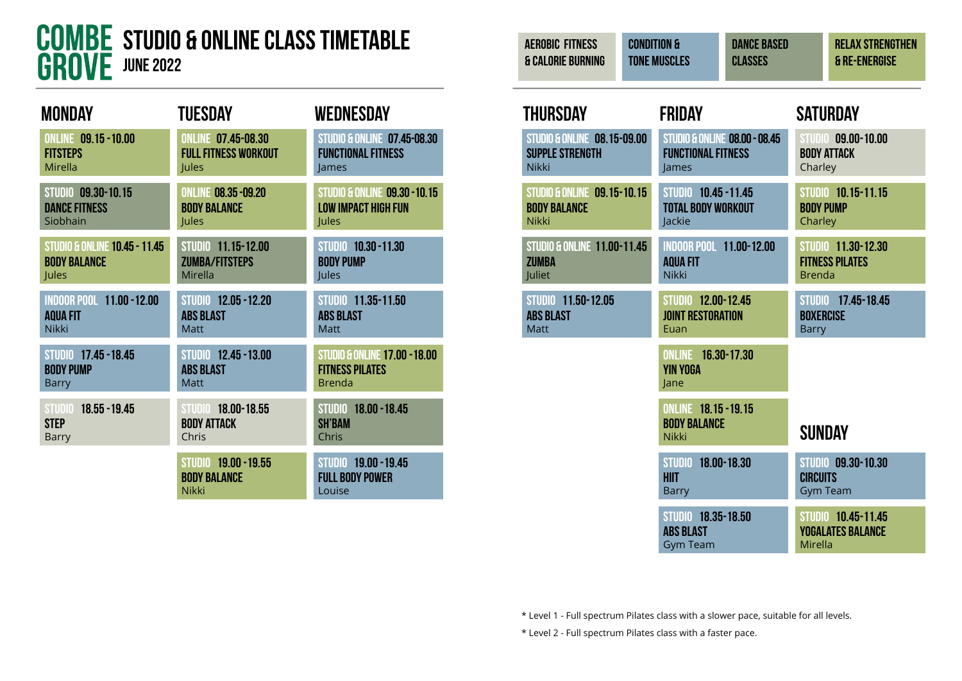

| <b>MONDAY</b>                            | <b>TUESDAY</b>                                                     | WEDNESDAY                                                       |
|------------------------------------------|--------------------------------------------------------------------|-----------------------------------------------------------------|
| <b>ONLINE 09.15 -10.00</b>               | <b>ONLINE 07.45-08.30</b>                                          | <b>STUDIO &amp; ONLINE 07.45-08.30</b>                          |
| <b>FITSTEPS</b>                          | <b>FULL FITNESS WORKOUT</b>                                        | <b>FUNCTIONAL FITNESS</b>                                       |
| Mirella                                  | Jules                                                              | lames                                                           |
| STUDIO 09.30-10.15                       | <b>ONLINE 08.35 -09.20</b>                                         | <b>STUDIO &amp; ONLINE 09.30 - 10.15</b>                        |
| <b>DANCE FITNESS</b>                     | <b>BODY BALANCE</b>                                                | <b>LOW IMPACT HIGH FUN</b>                                      |
| Siobhain                                 | Jules                                                              | Jules                                                           |
| <b>STUDIO &amp; ONLINE 10.45 - 11.45</b> | STUDIO 11.15-12.00                                                 | STUDIO 10.30 - 11.30                                            |
| <b>BODY BALANCE</b>                      | <b>ZUMBA/FITSTEPS</b>                                              | <b>BODY PUMP</b>                                                |
| Jules                                    | Mirella                                                            | Jules                                                           |
| <b>INDOOR POOL 11.00 - 12.00</b>         | STUDIO 12.05 - 12.20                                               | STUDIO 11.35-11.50                                              |
| <b>AQUA FIT</b>                          | <b>ABS BLAST</b>                                                   | <b>ABS BLAST</b>                                                |
| <b>Nikki</b>                             | <b>Matt</b>                                                        | <b>Matt</b>                                                     |
| STUDIO 17.45 - 18.45                     | <b>STUDIO 12.45 - 13.00</b>                                        | <b>STUDIO &amp; ONLINE 17.00 - 18.00</b>                        |
| <b>BODY PUMP</b>                         | <b>ABS BLAST</b>                                                   | <b>FITNESS PILATES</b>                                          |
| <b>Barry</b>                             | <b>Matt</b>                                                        | <b>Brenda</b>                                                   |
| STUDIO 18.55 - 19.45                     | STUDIO 18.00-18.55                                                 | <b>STUDIO 18.00 - 18.45</b>                                     |
| <b>STEP</b>                              | <b>BODY ATTACK</b>                                                 | <b>SH'BAM</b>                                                   |
| Barry                                    | Chris                                                              | Chris                                                           |
|                                          | <b>STUDIO 19.00 - 19.55</b><br><b>BODY BALANCE</b><br><b>Nikki</b> | <b>STUDIO 19.00 - 19.45</b><br><b>FULL BODY POWER</b><br>Louise |

| <b>AEROBIC FITNESS</b><br><b>&amp; CALORIE BURNING</b>                           | <b>CONDITION &amp;</b><br><b>TONE MUSCLES</b>          | <b>DANCE BASED</b><br><b>CLASSES</b>              |                                            | <b>RELAX STRENGTHEN</b><br>& RE-ENERGISE     |
|----------------------------------------------------------------------------------|--------------------------------------------------------|---------------------------------------------------|--------------------------------------------|----------------------------------------------|
| THURSDAY                                                                         | <b>FRIDAY</b>                                          |                                                   |                                            | <b>SATURDAY</b>                              |
| <b>STUDIO &amp; ONLINE 08.15-09.00</b><br><b>SUPPLE STRENGTH</b><br><b>Nikki</b> | <b>FUNCTIONAL FITNESS</b><br>James                     | <b>STUDIO &amp; ONLINE 08.00 - 08.45</b>          | <b>STUDIO</b><br>Charley                   | 09.00-10.00<br><b>BODY ATTACK</b>            |
| <b>STUDIO &amp; ONLINE 09.15-10.15</b><br><b>BODY BALANCE</b><br><b>Nikki</b>    | Jackie                                                 | STUDIO 10.45 - 11.45<br><b>TOTAL BODY WORKOUT</b> | <b>BODY PUMP</b><br>Charley                | STUDIO 10.15-11.15                           |
| <b>STUDIO &amp; ONLINE 11.00-11.45</b><br><b>ZUMBA</b><br>Juliet                 | <b>AQUA FIT</b><br><b>Nikki</b>                        | <b>INDOOR POOL 11.00-12.00</b>                    | <b>Brenda</b>                              | STUDIO 11.30-12.30<br><b>FITNESS PILATES</b> |
| STUDIO 11.50-12.05<br><b>ABS BLAST</b><br><b>Matt</b>                            | STUDIO 12.00-12.45<br><b>JOINT RESTORATION</b><br>Euan |                                                   | <b>STUDIO</b><br><b>BOXERCISE</b><br>Barry | 17.45-18.45                                  |
|                                                                                  | <b>ONLINE</b>                                          | 16.30-17.30                                       |                                            |                                              |

online 18.15 -19.15 **BODY BALANCE** Nikki SUNDAY studio 18.00-18.30 hiit Barry studio 09.30-10.30 **CIRCUITS** Gym Team studio 18.35-18.50 abs blast Gym Team STUDIO 10.45-11.45 yogalates balance Mirella

\* Level 1 - Full spectrum Pilates class with a slower pace, suitable for all levels.

yin yoga Jane

\* Level 2 - Full spectrum Pilates class with a faster pace.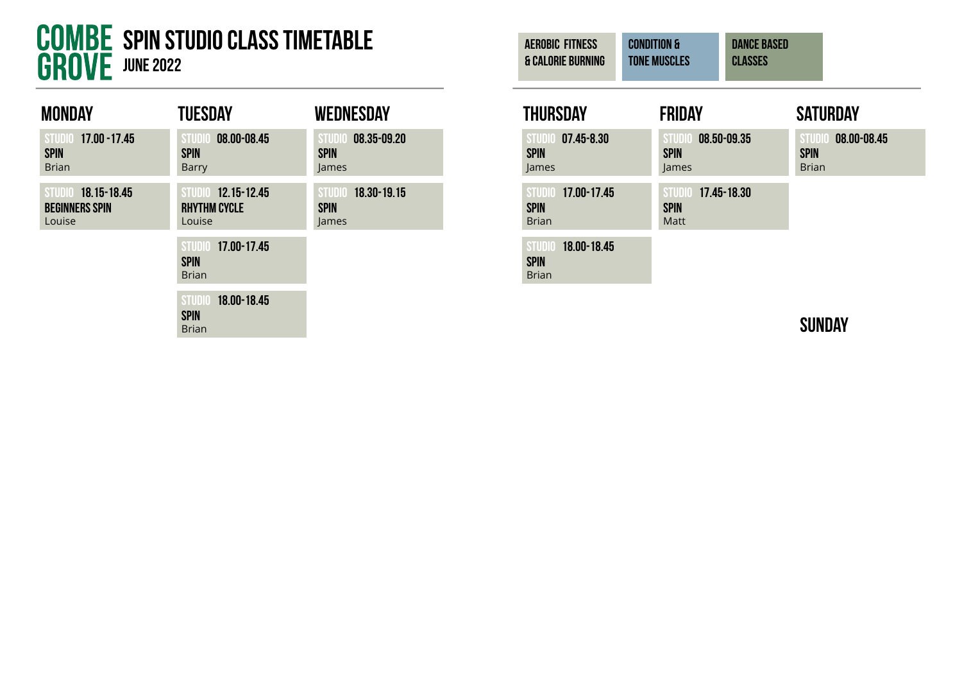

| MONDAY                                                | TUESDAY                                                     | <b>WEDNESDAY</b>                           |
|-------------------------------------------------------|-------------------------------------------------------------|--------------------------------------------|
| STUDIO 17.00 - 17.45<br><b>SPIN</b><br><b>Brian</b>   | 08.00-08.45<br><b>STUDIO</b><br><b>SPIN</b><br><b>Barry</b> | STUDIO 08.35-09.20<br><b>SPIN</b><br>James |
| STUDIO 18.15-18.45<br><b>BEGINNERS SPIN</b><br>Louise | STUDIO 12.15-12.45<br><b>RHYTHM CYCLE</b><br>Louise         | STUDIO 18.30-19.15<br><b>SPIN</b><br>James |
|                                                       | STUDIO 17.00-17.45<br><b>SPIN</b><br><b>Brian</b>           |                                            |
|                                                       | 18.00-18.45<br><b>STUDIO</b><br><b>SPIN</b><br><b>Brian</b> |                                            |

| <b>AEROBIC FITNESS</b><br><b>&amp; CALORIE BURNING</b> | <b>CONDITION &amp;</b><br><b>TONE MUSCLES</b> | <b>DANCE BASED</b><br><b>CLASSES</b> |                                                            |
|--------------------------------------------------------|-----------------------------------------------|--------------------------------------|------------------------------------------------------------|
| <b>THURSDAY</b>                                        | FRIDAY                                        |                                      | <b>SATURDAY</b>                                            |
| STUDIO 07.45-8.30<br><b>SPIN</b><br>lames              | STUDIO 08.50-09.35<br><b>SPIN</b><br>lames    |                                      | 08.00-08.45<br><b>STUDI</b><br><b>SPIN</b><br><b>Brian</b> |

STUDIO 17.45-18.30

spin Matt

STUDIO 17.00-17.45

STUDIO 18.00-18.45

spin Brian

spin Brian

**SUNDAY**